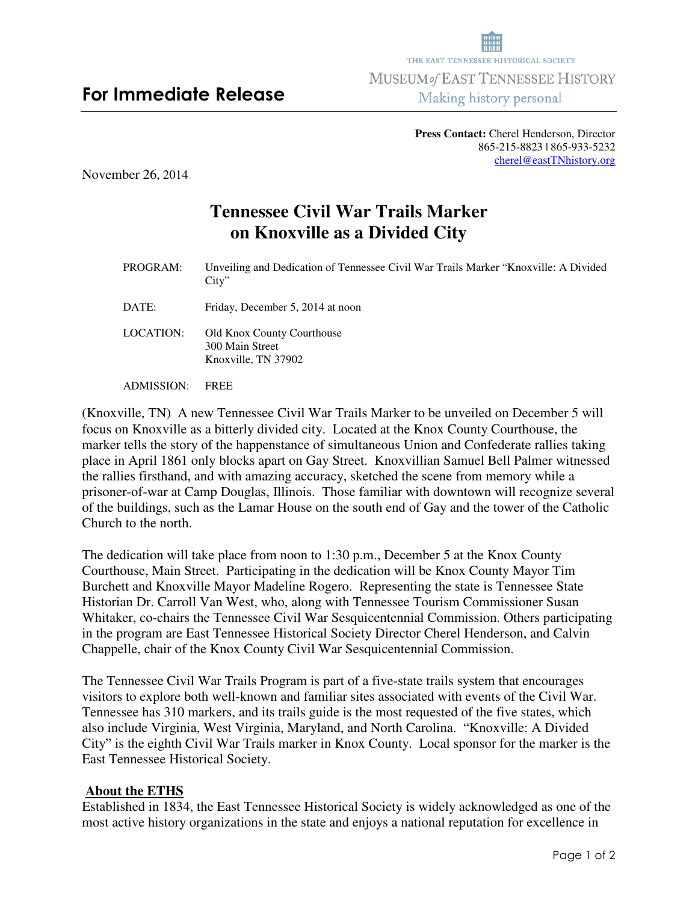## **Press Contact:** Cherel Henderson, Director 865-215-8823 | 865-933-5232 cherel@eastTNhistory.org

November 26, 2014

## **Tennessee Civil War Trails Marker on Knoxville as a Divided City**

PROGRAM:Unveiling and Dedication of Tennessee Civil War Trails Marker "Knoxville: A Divided City"

DATE: Friday, December 5, 2014 at noon

LOCATION: Old Knox County Courthouse 300 Main Street Knoxville, TN 37902

ADMISSION: FREE

(Knoxville, TN) A new Tennessee Civil War Trails Marker to be unveiled on December 5 will focus on Knoxville as a bitterly divided city. Located at the Knox County Courthouse, the marker tells the story of the happenstance of simultaneous Union and Confederate rallies taking place in April 1861 only blocks apart on Gay Street. Knoxvillian Samuel Bell Palmer witnessed the rallies firsthand, and with amazing accuracy, sketched the scene from memory while a prisoner-of-war at Camp Douglas, Illinois. Those familiar with downtown will recognize several of the buildings, such as the Lamar House on the south end of Gay and the tower of the Catholic Church to the north.

The dedication will take place from noon to 1:30 p.m., December 5 at the Knox County Courthouse, Main Street. Participating in the dedication will be Knox County Mayor Tim Burchett and Knoxville Mayor Madeline Rogero. Representing the state is Tennessee State Historian Dr. Carroll Van West, who, along with Tennessee Tourism Commissioner Susan Whitaker, co-chairs the Tennessee Civil War Sesquicentennial Commission. Others participating in the program are East Tennessee Historical Society Director Cherel Henderson, and Calvin Chappelle, chair of the Knox County Civil War Sesquicentennial Commission.

The Tennessee Civil War Trails Program is part of a five-state trails system that encourages visitors to explore both well-known and familiar sites associated with events of the Civil War. Tennessee has 310 markers, and its trails guide is the most requested of the five states, which also include Virginia, West Virginia, Maryland, and North Carolina. "Knoxville: A Divided City" is the eighth Civil War Trails marker in Knox County. Local sponsor for the marker is the East Tennessee Historical Society.

## **About the ETHS**

Established in 1834, the East Tennessee Historical Society is widely acknowledged as one of the most active history organizations in the state and enjoys a national reputation for excellence in